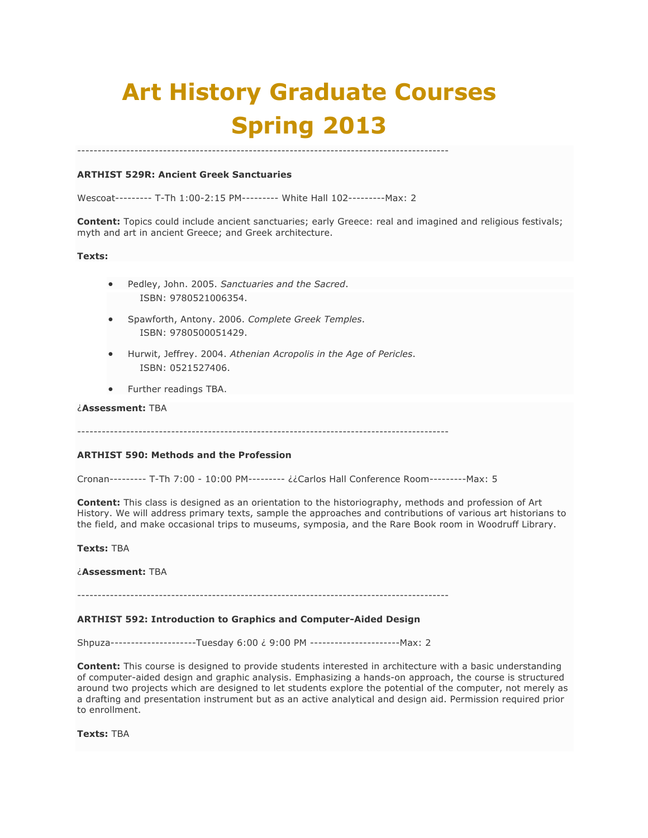# **Art History Graduate Courses Spring 2013**

# **ARTHIST 529R: Ancient Greek Sanctuaries**

Wescoat--------- T-Th 1:00-2:15 PM--------- White Hall 102---------Max: 2

-------------------------------------------------------------------------------------------

**Content:** Topics could include ancient sanctuaries; early Greece: real and imagined and religious festivals; myth and art in ancient Greece; and Greek architecture.

#### **Texts:**

- Pedley, John. 2005. *Sanctuaries and the Sacred*. ISBN: 9780521006354.
- Spawforth, Antony. 2006. *Complete Greek Temples*. ISBN: 9780500051429.
- Hurwit, Jeffrey. 2004. *Athenian Acropolis in the Age of Pericles*. ISBN: 0521527406.
- Further readings TBA.

## ¿**Assessment:** TBA

-------------------------------------------------------------------------------------------

### **ARTHIST 590: Methods and the Profession**

Cronan--------- T-Th 7:00 - 10:00 PM--------- ¿¿Carlos Hall Conference Room---------Max: 5

**Content:** This class is designed as an orientation to the historiography, methods and profession of Art History. We will address primary texts, sample the approaches and contributions of various art historians to the field, and make occasional trips to museums, symposia, and the Rare Book room in Woodruff Library.

**Texts:** TBA

¿**Assessment:** TBA

-------------------------------------------------------------------------------------------

#### **ARTHIST 592: Introduction to Graphics and Computer-Aided Design**

Shpuza---------------------Tuesday 6:00 ¿ 9:00 PM ----------------------Max: 2

**Content:** This course is designed to provide students interested in architecture with a basic understanding of computer-aided design and graphic analysis. Emphasizing a hands-on approach, the course is structured around two projects which are designed to let students explore the potential of the computer, not merely as a drafting and presentation instrument but as an active analytical and design aid. Permission required prior to enrollment.

**Texts:** TBA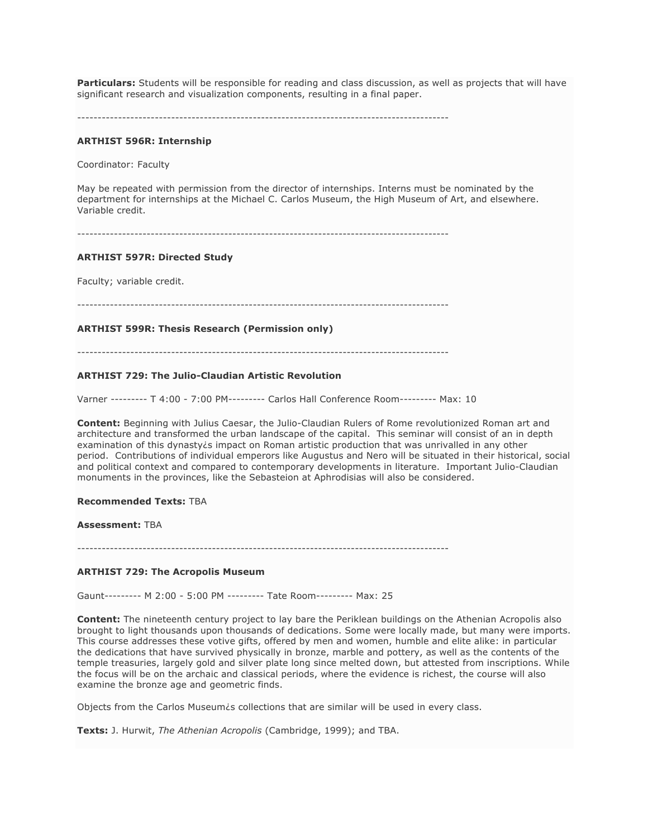**Particulars:** Students will be responsible for reading and class discussion, as well as projects that will have significant research and visualization components, resulting in a final paper.

-------------------------------------------------------------------------------------------

#### **ARTHIST 596R: Internship**

Coordinator: Faculty

May be repeated with permission from the director of internships. Interns must be nominated by the department for internships at the Michael C. Carlos Museum, the High Museum of Art, and elsewhere. Variable credit.

-------------------------------------------------------------------------------------------

#### **ARTHIST 597R: Directed Study**

Faculty; variable credit.

-------------------------------------------------------------------------------------------

#### **ARTHIST 599R: Thesis Research (Permission only)**

-------------------------------------------------------------------------------------------

#### **ARTHIST 729: The Julio-Claudian Artistic Revolution**

Varner --------- T 4:00 - 7:00 PM--------- Carlos Hall Conference Room--------- Max: 10

**Content:** Beginning with Julius Caesar, the Julio-Claudian Rulers of Rome revolutionized Roman art and architecture and transformed the urban landscape of the capital. This seminar will consist of an in depth examination of this dynasty*is* impact on Roman artistic production that was unrivalled in any other period. Contributions of individual emperors like Augustus and Nero will be situated in their historical, social and political context and compared to contemporary developments in literature. Important Julio-Claudian monuments in the provinces, like the Sebasteion at Aphrodisias will also be considered.

## **Recommended Texts:** TBA

#### **Assessment:** TBA

-------------------------------------------------------------------------------------------

#### **ARTHIST 729: The Acropolis Museum**

Gaunt--------- M 2:00 - 5:00 PM --------- Tate Room--------- Max: 25

**Content:** The nineteenth century project to lay bare the Periklean buildings on the Athenian Acropolis also brought to light thousands upon thousands of dedications. Some were locally made, but many were imports. This course addresses these votive gifts, offered by men and women, humble and elite alike: in particular the dedications that have survived physically in bronze, marble and pottery, as well as the contents of the temple treasuries, largely gold and silver plate long since melted down, but attested from inscriptions. While the focus will be on the archaic and classical periods, where the evidence is richest, the course will also examine the bronze age and geometric finds.

Objects from the Carlos Museum¿s collections that are similar will be used in every class.

**Texts:** J. Hurwit, *The Athenian Acropolis* (Cambridge, 1999); and TBA.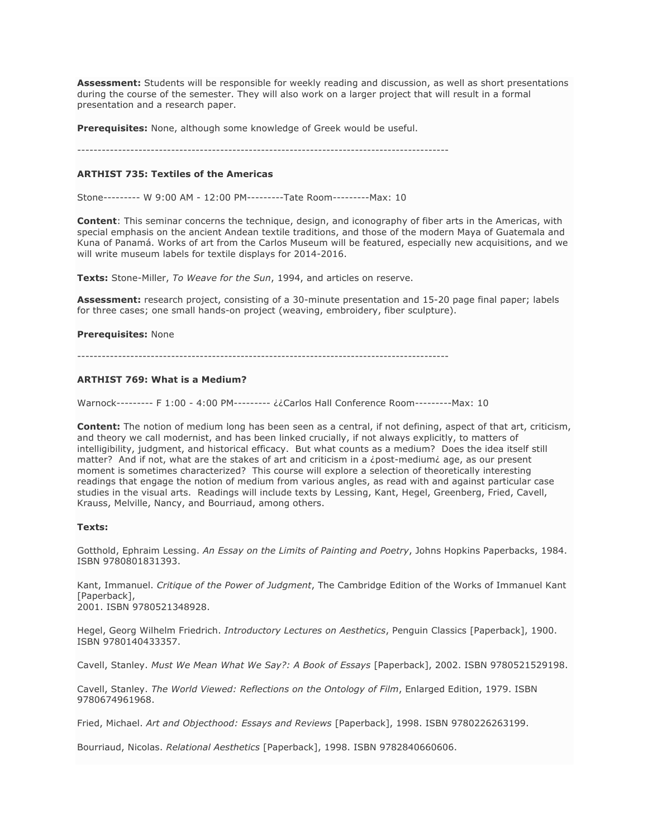**Assessment:** Students will be responsible for weekly reading and discussion, as well as short presentations during the course of the semester. They will also work on a larger project that will result in a formal presentation and a research paper.

**Prerequisites:** None, although some knowledge of Greek would be useful.

-------------------------------------------------------------------------------------------

#### **ARTHIST 735: Textiles of the Americas**

Stone--------- W 9:00 AM - 12:00 PM---------Tate Room---------Max: 10

**Content**: This seminar concerns the technique, design, and iconography of fiber arts in the Americas, with special emphasis on the ancient Andean textile traditions, and those of the modern Maya of Guatemala and Kuna of Panamá. Works of art from the Carlos Museum will be featured, especially new acquisitions, and we will write museum labels for textile displays for 2014-2016.

**Texts:** Stone-Miller, *To Weave for the Sun*, 1994, and articles on reserve.

**Assessment:** research project, consisting of a 30-minute presentation and 15-20 page final paper; labels for three cases; one small hands-on project (weaving, embroidery, fiber sculpture).

#### **Prerequisites:** None

-------------------------------------------------------------------------------------------

## **ARTHIST 769: What is a Medium?**

Warnock--------- F 1:00 - 4:00 PM--------- ¿¿Carlos Hall Conference Room---------Max: 10

**Content:** The notion of medium long has been seen as a central, if not defining, aspect of that art, criticism, and theory we call modernist, and has been linked crucially, if not always explicitly, to matters of intelligibility, judgment, and historical efficacy. But what counts as a medium? Does the idea itself still matter? And if not, what are the stakes of art and criticism in a ¿post-medium¿ age, as our present moment is sometimes characterized? This course will explore a selection of theoretically interesting readings that engage the notion of medium from various angles, as read with and against particular case studies in the visual arts. Readings will include texts by Lessing, Kant, Hegel, Greenberg, Fried, Cavell, Krauss, Melville, Nancy, and Bourriaud, among others.

#### **Texts:**

Gotthold, Ephraim Lessing. *An Essay on the Limits of Painting and Poetry*, Johns Hopkins Paperbacks, 1984. ISBN 9780801831393.

Kant, Immanuel. *Critique of the Power of Judgment*, The Cambridge Edition of the Works of Immanuel Kant [Paperback]. 2001. ISBN 9780521348928.

Hegel, Georg Wilhelm Friedrich. *Introductory Lectures on Aesthetics*, Penguin Classics [Paperback], 1900. ISBN 9780140433357.

Cavell, Stanley. *Must We Mean What We Say?: A Book of Essays* [Paperback], 2002. ISBN 9780521529198.

Cavell, Stanley. *The World Viewed: Reflections on the Ontology of Film*, Enlarged Edition, 1979. ISBN 9780674961968.

Fried, Michael. *Art and Objecthood: Essays and Reviews* [Paperback], 1998. ISBN 9780226263199.

Bourriaud, Nicolas. *Relational Aesthetics* [Paperback], 1998. ISBN 9782840660606.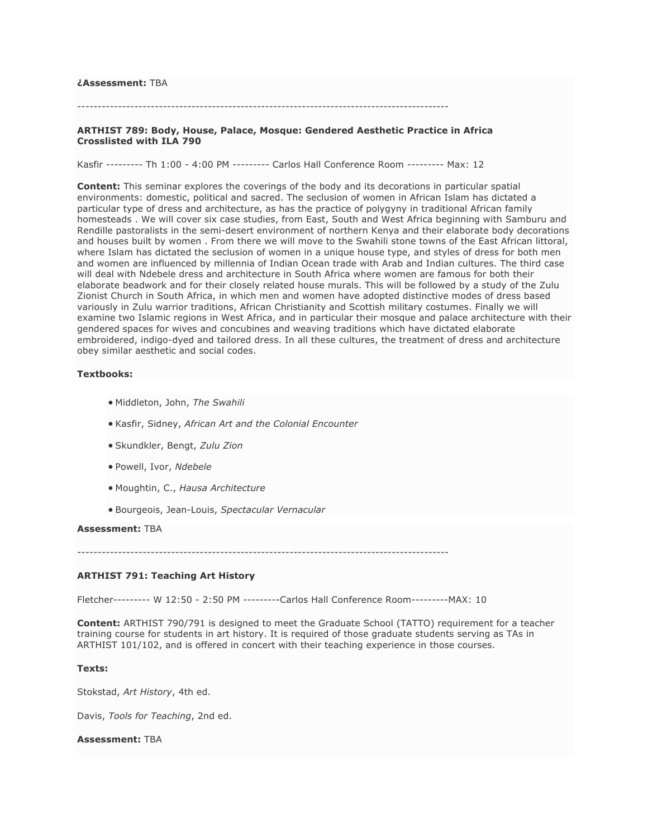#### **¿Assessment:** TBA

## -------------------------------------------------------------------------------------------

## **ARTHIST 789: Body, House, Palace, Mosque: Gendered Aesthetic Practice in Africa Crosslisted with ILA 790**

Kasfir --------- Th 1:00 - 4:00 PM --------- Carlos Hall Conference Room --------- Max: 12

**Content:** This seminar explores the coverings of the body and its decorations in particular spatial environments: domestic, political and sacred. The seclusion of women in African Islam has dictated a particular type of dress and architecture, as has the practice of polygyny in traditional African family homesteads . We will cover six case studies, from East, South and West Africa beginning with Samburu and Rendille pastoralists in the semi-desert environment of northern Kenya and their elaborate body decorations and houses built by women . From there we will move to the Swahili stone towns of the East African littoral, where Islam has dictated the seclusion of women in a unique house type, and styles of dress for both men and women are influenced by millennia of Indian Ocean trade with Arab and Indian cultures. The third case will deal with Ndebele dress and architecture in South Africa where women are famous for both their elaborate beadwork and for their closely related house murals. This will be followed by a study of the Zulu Zionist Church in South Africa, in which men and women have adopted distinctive modes of dress based variously in Zulu warrior traditions, African Christianity and Scottish military costumes. Finally we will examine two Islamic regions in West Africa, and in particular their mosque and palace architecture with their gendered spaces for wives and concubines and weaving traditions which have dictated elaborate embroidered, indigo-dyed and tailored dress. In all these cultures, the treatment of dress and architecture obey similar aesthetic and social codes.

## **Textbooks:**

- Middleton, John, *The Swahili*
- Kasfir, Sidney, *African Art and the Colonial Encounter*
- Skundkler, Bengt, *Zulu Zion*
- Powell, Ivor, *Ndebele*
- Moughtin, C., *Hausa Architecture*
- Bourgeois, Jean-Louis, *Spectacular Vernacular*

#### **Assessment:** TBA

-------------------------------------------------------------------------------------------

## **ARTHIST 791: Teaching Art History**

Fletcher--------- W 12:50 - 2:50 PM ---------Carlos Hall Conference Room---------MAX: 10

**Content:** ARTHIST 790/791 is designed to meet the Graduate School (TATTO) requirement for a teacher training course for students in art history. It is required of those graduate students serving as TAs in ARTHIST 101/102, and is offered in concert with their teaching experience in those courses.

## **Texts:**

Stokstad, *Art History*, 4th ed.

Davis, *Tools for Teaching*, 2nd ed.

#### **Assessment:** TBA